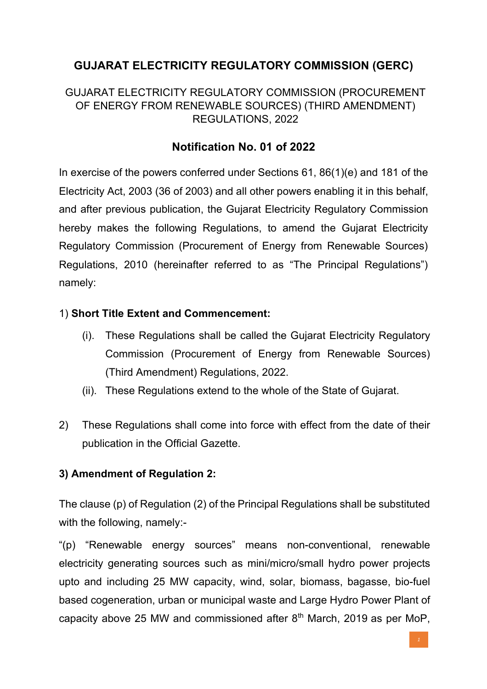# **GUJARAT ELECTRICITY REGULATORY COMMISSION (GERC)**

### GUJARAT ELECTRICITY REGULATORY COMMISSION (PROCUREMENT OF ENERGY FROM RENEWABLE SOURCES) (THIRD AMENDMENT) REGULATIONS, 2022

## **Notification No. 01 of 2022**

In exercise of the powers conferred under Sections 61, 86(1)(e) and 181 of the Electricity Act, 2003 (36 of 2003) and all other powers enabling it in this behalf, and after previous publication, the Gujarat Electricity Regulatory Commission hereby makes the following Regulations, to amend the Gujarat Electricity Regulatory Commission (Procurement of Energy from Renewable Sources) Regulations, 2010 (hereinafter referred to as "The Principal Regulations") namely:

#### 1) **Short Title Extent and Commencement:**

- (i). These Regulations shall be called the Gujarat Electricity Regulatory Commission (Procurement of Energy from Renewable Sources) (Third Amendment) Regulations, 2022.
- (ii). These Regulations extend to the whole of the State of Gujarat.
- 2) These Regulations shall come into force with effect from the date of their publication in the Official Gazette.

### **3) Amendment of Regulation 2:**

The clause (p) of Regulation (2) of the Principal Regulations shall be substituted with the following, namely:-

"(p) "Renewable energy sources" means non-conventional, renewable electricity generating sources such as mini/micro/small hydro power projects upto and including 25 MW capacity, wind, solar, biomass, bagasse, bio-fuel based cogeneration, urban or municipal waste and Large Hydro Power Plant of capacity above 25 MW and commissioned after  $8<sup>th</sup>$  March, 2019 as per MoP,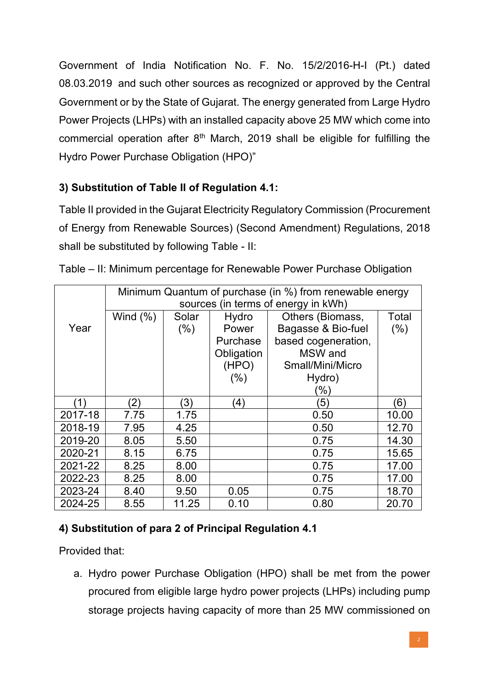Government of India Notification No. F. No. 15/2/2016-H-I (Pt.) dated 08.03.2019 and such other sources as recognized or approved by the Central Government or by the State of Gujarat. The energy generated from Large Hydro Power Projects (LHPs) with an installed capacity above 25 MW which come into commercial operation after  $8<sup>th</sup>$  March, 2019 shall be eligible for fulfilling the Hydro Power Purchase Obligation (HPO)"

## **3) Substitution of Table II of Regulation 4.1:**

Table II provided in the Gujarat Electricity Regulatory Commission (Procurement of Energy from Renewable Sources) (Second Amendment) Regulations, 2018 shall be substituted by following Table - II:

|         | Minimum Quantum of purchase (in %) from renewable energy |       |            |                     |         |
|---------|----------------------------------------------------------|-------|------------|---------------------|---------|
|         | sources (in terms of energy in kWh)                      |       |            |                     |         |
|         | Wind $(\%)$                                              | Solar | Hydro      | Others (Biomass,    | Total   |
| Year    |                                                          | (% )  | Power      | Bagasse & Bio-fuel  | $(\% )$ |
|         |                                                          |       | Purchase   | based cogeneration, |         |
|         |                                                          |       | Obligation | MSW and             |         |
|         |                                                          |       | (HPO)      | Small/Mini/Micro    |         |
|         |                                                          |       | $(\% )$    | Hydro)              |         |
|         |                                                          |       |            | '%)                 |         |
| (1)     | $\left( 2\right)$                                        | (3)   | (4)        | 35)                 | 6)      |
| 2017-18 | 7.75                                                     | 1.75  |            | 0.50                | 10.00   |
| 2018-19 | 7.95                                                     | 4.25  |            | 0.50                | 12.70   |
| 2019-20 | 8.05                                                     | 5.50  |            | 0.75                | 14.30   |
| 2020-21 | 8.15                                                     | 6.75  |            | 0.75                | 15.65   |
| 2021-22 | 8.25                                                     | 8.00  |            | 0.75                | 17.00   |
| 2022-23 | 8.25                                                     | 8.00  |            | 0.75                | 17.00   |
| 2023-24 | 8.40                                                     | 9.50  | 0.05       | 0.75                | 18.70   |
| 2024-25 | 8.55                                                     | 11.25 | 0.10       | 0.80                | 20.70   |

Table – II: Minimum percentage for Renewable Power Purchase Obligation

# **4) Substitution of para 2 of Principal Regulation 4.1**

Provided that:

a. Hydro power Purchase Obligation (HPO) shall be met from the power procured from eligible large hydro power projects (LHPs) including pump storage projects having capacity of more than 25 MW commissioned on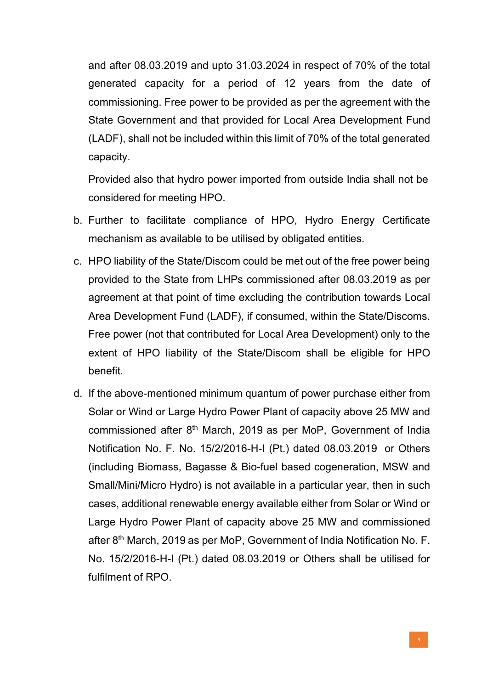and after 08.03.2019 and upto 31.03.2024 in respect of 70% of the total generated capacity for a period of 12 years from the date of commissioning. Free power to be provided as per the agreement with the State Government and that provided for Local Area Development Fund (LADF), shall not be included within this limit of 70% of the total generated capacity.

Provided also that hydro power imported from outside India shall not be considered for meeting HPO.

- b. Further to facilitate compliance of HPO, Hydro Energy Certificate mechanism as available to be utilised by obligated entities.
- c. HPO liability of the State/Discom could be met out of the free power being provided to the State from LHPs commissioned after 08.03.2019 as per agreement at that point of time excluding the contribution towards Local Area Development Fund (LADF), if consumed, within the State/Discoms. Free power (not that contributed for Local Area Development) only to the extent of HPO liability of the State/Discom shall be eligible for HPO benefit.
- d. If the above-mentioned minimum quantum of power purchase either from Solar or Wind or Large Hydro Power Plant of capacity above 25 MW and commissioned after 8th March, 2019 as per MoP, Government of India Notification No. F. No. 15/2/2016-H-I (Pt.) dated 08.03.2019 or Others (including Biomass, Bagasse & Bio-fuel based cogeneration, MSW and Small/Mini/Micro Hydro) is not available in a particular year, then in such cases, additional renewable energy available either from Solar or Wind or Large Hydro Power Plant of capacity above 25 MW and commissioned after 8<sup>th</sup> March, 2019 as per MoP, Government of India Notification No. F. No. 15/2/2016-H-I (Pt.) dated 08.03.2019 or Others shall be utilised for fulfilment of RPO.